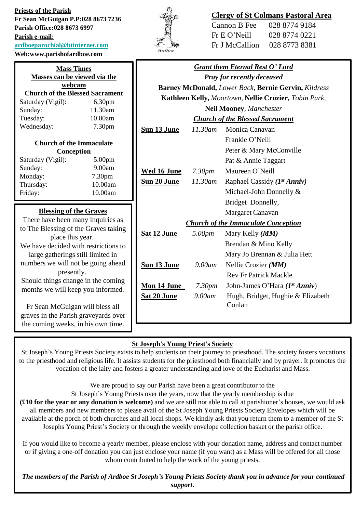**Priests of the Parish Fr Sean McGuigan P.P:028 8673 7236 Parish Office:028 8673 6997 Parish e-mail: [ardboeparochial@btinternet.com](mailto:ardboeparochial@btinternet.com) Web:www.parishofardboe.com**



# **Clergy of St Colmans Pastoral Area**

| 028 8774 9184 |
|---------------|
| 028 8774 0221 |
| 028 8773 8381 |
|               |

| <b>Mass Times</b><br>Masses can be viewed via the                       |                               | <b>Grant them Eternal Rest O' Lord</b><br><b>Pray for recently deceased</b> |                    |                                                      |
|-------------------------------------------------------------------------|-------------------------------|-----------------------------------------------------------------------------|--------------------|------------------------------------------------------|
| webcam                                                                  |                               |                                                                             |                    | Barney McDonald, Lower Back, Bernie Gervin, Kildress |
| <b>Church of the Blessed Sacrament</b>                                  |                               |                                                                             |                    |                                                      |
| Saturday (Vigil):                                                       | 6.30pm                        | Kathleen Kelly, Moortown, Nellie Crozier, Tobin Park,                       |                    |                                                      |
| Sunday:                                                                 | 11.30am                       | <b>Neil Mooney, Manchester</b>                                              |                    |                                                      |
| Tuesday:<br>Wednesday:                                                  | 10.00am<br>7.30pm             | <b>Church of the Blessed Sacrament</b>                                      |                    |                                                      |
|                                                                         |                               | Sun 13 June                                                                 | $11.30$ am         | Monica Canavan                                       |
| <b>Church of the Immaculate</b>                                         |                               |                                                                             |                    | Frankie O'Neill                                      |
| Conception                                                              |                               |                                                                             |                    | Peter & Mary McConville                              |
| Saturday (Vigil):                                                       | 5.00pm                        |                                                                             |                    | Pat & Annie Taggart                                  |
| Sunday:                                                                 | 9.00am                        | Wed 16 June                                                                 | 7.30 <sub>pm</sub> | Maureen O'Neill                                      |
| Monday:<br>Thursday:                                                    | 7.30 <sub>pm</sub><br>10.00am | Sun 20 June                                                                 | 11.30am            | Raphael Cassidy $(I^{st} Anniv)$                     |
| Friday:                                                                 | 10.00am                       |                                                                             |                    | Michael-John Donnelly &                              |
|                                                                         |                               |                                                                             |                    | Bridget Donnelly,                                    |
| <b>Blessing of the Graves</b>                                           |                               |                                                                             |                    | Margaret Canavan                                     |
| There have been many inquiries as                                       |                               |                                                                             |                    | <b>Church of the Immaculate Conception</b>           |
| to The Blessing of the Graves taking<br>place this year.                |                               | Sat 12 June                                                                 | 5.00pm             | Mary Kelly ( <i>MM</i> )                             |
| We have decided with restrictions to                                    |                               |                                                                             |                    | Brendan & Mino Kelly                                 |
| large gatherings still limited in                                       |                               |                                                                             |                    | Mary Jo Brennan & Julia Hett                         |
| numbers we will not be going ahead                                      |                               | Sun 13 June                                                                 | 9.00am             | Nellie Crozier (MM)                                  |
| presently.                                                              |                               |                                                                             |                    | <b>Rev Fr Patrick Mackle</b>                         |
| Should things change in the coming<br>months we will keep you informed. |                               | Mon 14 June                                                                 | 7.30 <sub>pm</sub> | John-James O'Hara (1st Anniv)                        |
|                                                                         |                               | <b>Sat 20 June</b>                                                          | 9.00am             | Hugh, Bridget, Hughie & Elizabeth                    |
| Fr Sean McGuigan will bless all                                         |                               |                                                                             |                    | Conlan                                               |
| graves in the Parish graveyards over                                    |                               |                                                                             |                    |                                                      |
| the coming weeks, in his own time.                                      |                               |                                                                             |                    |                                                      |

# **St Joseph's Young Priest's Society**

St Joseph's Young Priests Society exists to help students on their journey to priesthood. The society fosters vocations to the priesthood and religious life. It assists students for the priesthood both financially and by prayer. It promotes the vocation of the laity and fosters a greater understanding and love of the Eucharist and Mass.

We are proud to say our Parish have been a great contributor to the

St Joseph's Young Priests over the years, now that the yearly membership is due

**(£10 for the year or any donation is welcome)** and we are still not able to call at parishioner's houses, we would ask all members and new members to please avail of the St Joseph Young Priests Society Envelopes which will be available at the porch of both churches and all local shops. We kindly ask that you return them to a member of the St Josephs Young Priest's Society or through the weekly envelope collection basket or the parish office.

If you would like to become a yearly member, please enclose with your donation name, address and contact number or if giving a one-off donation you can just enclose your name (if you want) as a Mass will be offered for all those whom contributed to help the work of the young priests.

*The members of the Parish of Ardboe St Joseph's Young Priests Society thank you in advance for your continued support***.**